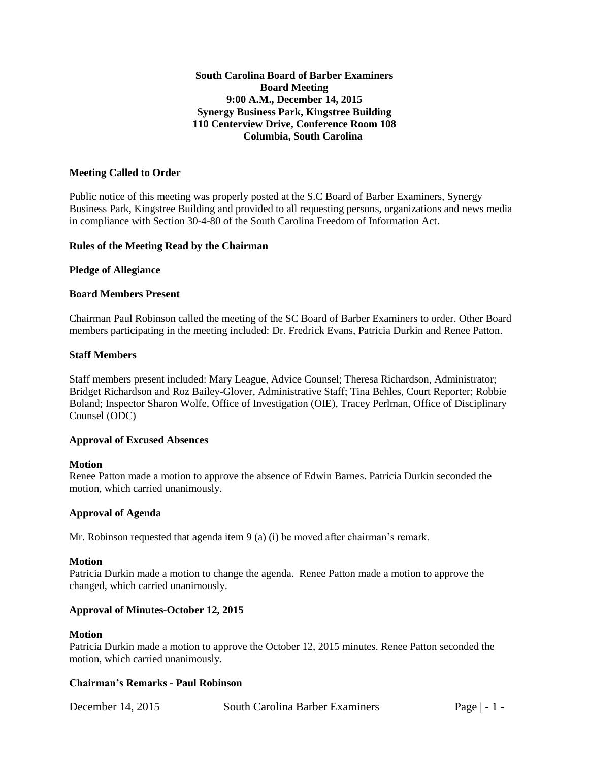## **South Carolina Board of Barber Examiners Board Meeting 9:00 A.M., December 14, 2015 Synergy Business Park, Kingstree Building 110 Centerview Drive, Conference Room 108 Columbia, South Carolina**

### **Meeting Called to Order**

Public notice of this meeting was properly posted at the S.C Board of Barber Examiners, Synergy Business Park, Kingstree Building and provided to all requesting persons, organizations and news media in compliance with Section 30-4-80 of the South Carolina Freedom of Information Act.

## **Rules of the Meeting Read by the Chairman**

## **Pledge of Allegiance**

## **Board Members Present**

Chairman Paul Robinson called the meeting of the SC Board of Barber Examiners to order. Other Board members participating in the meeting included: Dr. Fredrick Evans, Patricia Durkin and Renee Patton.

### **Staff Members**

Staff members present included: Mary League, Advice Counsel; Theresa Richardson, Administrator; Bridget Richardson and Roz Bailey-Glover, Administrative Staff; Tina Behles, Court Reporter; Robbie Boland; Inspector Sharon Wolfe, Office of Investigation (OIE), Tracey Perlman, Office of Disciplinary Counsel (ODC)

### **Approval of Excused Absences**

### **Motion**

Renee Patton made a motion to approve the absence of Edwin Barnes. Patricia Durkin seconded the motion, which carried unanimously.

## **Approval of Agenda**

Mr. Robinson requested that agenda item 9 (a) (i) be moved after chairman's remark.

### **Motion**

Patricia Durkin made a motion to change the agenda. Renee Patton made a motion to approve the changed, which carried unanimously.

## **Approval of Minutes-October 12, 2015**

### **Motion**

Patricia Durkin made a motion to approve the October 12, 2015 minutes. Renee Patton seconded the motion, which carried unanimously.

### **Chairman's Remarks - Paul Robinson**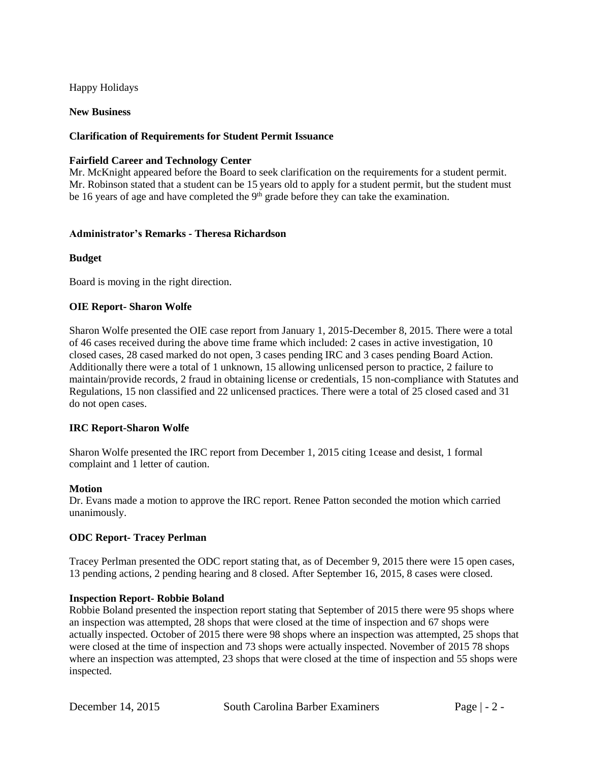Happy Holidays

**New Business**

## **Clarification of Requirements for Student Permit Issuance**

## **Fairfield Career and Technology Center**

Mr. McKnight appeared before the Board to seek clarification on the requirements for a student permit. Mr. Robinson stated that a student can be 15 years old to apply for a student permit, but the student must be 16 years of age and have completed the  $9<sup>th</sup>$  grade before they can take the examination.

## **Administrator's Remarks - Theresa Richardson**

## **Budget**

Board is moving in the right direction.

## **OIE Report- Sharon Wolfe**

Sharon Wolfe presented the OIE case report from January 1, 2015-December 8, 2015. There were a total of 46 cases received during the above time frame which included: 2 cases in active investigation, 10 closed cases, 28 cased marked do not open, 3 cases pending IRC and 3 cases pending Board Action. Additionally there were a total of 1 unknown, 15 allowing unlicensed person to practice, 2 failure to maintain/provide records, 2 fraud in obtaining license or credentials, 15 non-compliance with Statutes and Regulations, 15 non classified and 22 unlicensed practices. There were a total of 25 closed cased and 31 do not open cases.

## **IRC Report-Sharon Wolfe**

Sharon Wolfe presented the IRC report from December 1, 2015 citing 1cease and desist, 1 formal complaint and 1 letter of caution.

### **Motion**

Dr. Evans made a motion to approve the IRC report. Renee Patton seconded the motion which carried unanimously.

## **ODC Report- Tracey Perlman**

Tracey Perlman presented the ODC report stating that, as of December 9, 2015 there were 15 open cases, 13 pending actions, 2 pending hearing and 8 closed. After September 16, 2015, 8 cases were closed.

### **Inspection Report- Robbie Boland**

Robbie Boland presented the inspection report stating that September of 2015 there were 95 shops where an inspection was attempted, 28 shops that were closed at the time of inspection and 67 shops were actually inspected. October of 2015 there were 98 shops where an inspection was attempted, 25 shops that were closed at the time of inspection and 73 shops were actually inspected. November of 2015 78 shops where an inspection was attempted, 23 shops that were closed at the time of inspection and 55 shops were inspected.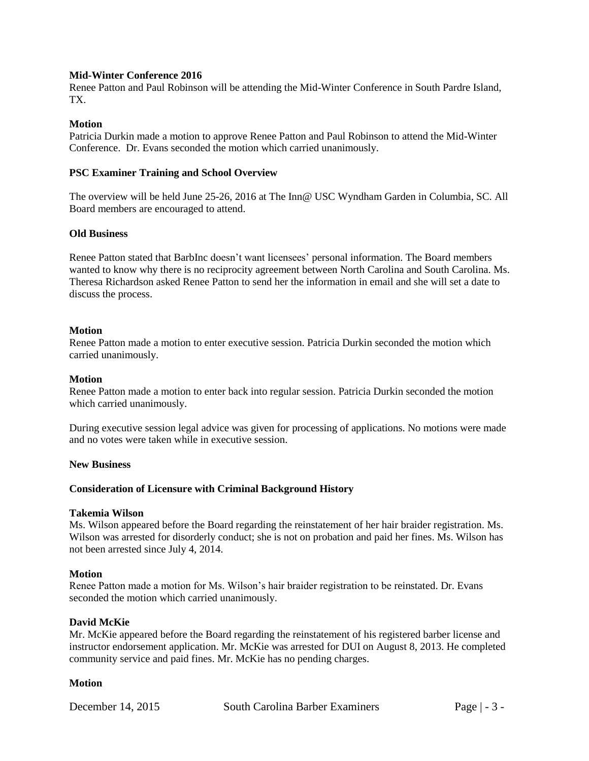## **Mid-Winter Conference 2016**

Renee Patton and Paul Robinson will be attending the Mid-Winter Conference in South Pardre Island, TX.

## **Motion**

Patricia Durkin made a motion to approve Renee Patton and Paul Robinson to attend the Mid-Winter Conference. Dr. Evans seconded the motion which carried unanimously.

### **PSC Examiner Training and School Overview**

The overview will be held June 25-26, 2016 at The Inn@ USC Wyndham Garden in Columbia, SC. All Board members are encouraged to attend.

## **Old Business**

Renee Patton stated that BarbInc doesn't want licensees' personal information. The Board members wanted to know why there is no reciprocity agreement between North Carolina and South Carolina. Ms. Theresa Richardson asked Renee Patton to send her the information in email and she will set a date to discuss the process.

## **Motion**

Renee Patton made a motion to enter executive session. Patricia Durkin seconded the motion which carried unanimously.

### **Motion**

Renee Patton made a motion to enter back into regular session. Patricia Durkin seconded the motion which carried unanimously.

During executive session legal advice was given for processing of applications. No motions were made and no votes were taken while in executive session.

### **New Business**

## **Consideration of Licensure with Criminal Background History**

### **Takemia Wilson**

Ms. Wilson appeared before the Board regarding the reinstatement of her hair braider registration. Ms. Wilson was arrested for disorderly conduct; she is not on probation and paid her fines. Ms. Wilson has not been arrested since July 4, 2014.

### **Motion**

Renee Patton made a motion for Ms. Wilson's hair braider registration to be reinstated. Dr. Evans seconded the motion which carried unanimously.

### **David McKie**

Mr. McKie appeared before the Board regarding the reinstatement of his registered barber license and instructor endorsement application. Mr. McKie was arrested for DUI on August 8, 2013. He completed community service and paid fines. Mr. McKie has no pending charges.

### **Motion**

December 14, 2015 South Carolina Barber Examiners Page | - 3 -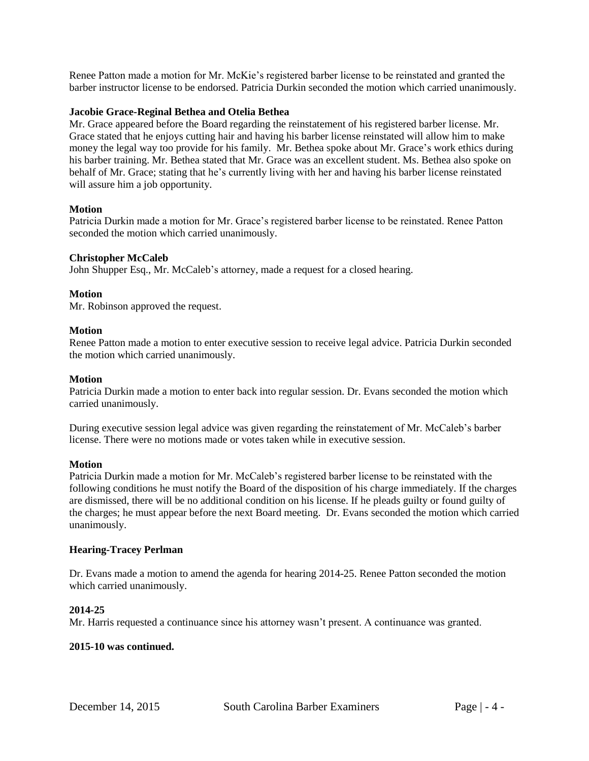Renee Patton made a motion for Mr. McKie's registered barber license to be reinstated and granted the barber instructor license to be endorsed. Patricia Durkin seconded the motion which carried unanimously.

## **Jacobie Grace-Reginal Bethea and Otelia Bethea**

Mr. Grace appeared before the Board regarding the reinstatement of his registered barber license. Mr. Grace stated that he enjoys cutting hair and having his barber license reinstated will allow him to make money the legal way too provide for his family. Mr. Bethea spoke about Mr. Grace's work ethics during his barber training. Mr. Bethea stated that Mr. Grace was an excellent student. Ms. Bethea also spoke on behalf of Mr. Grace; stating that he's currently living with her and having his barber license reinstated will assure him a job opportunity.

### **Motion**

Patricia Durkin made a motion for Mr. Grace's registered barber license to be reinstated. Renee Patton seconded the motion which carried unanimously.

## **Christopher McCaleb**

John Shupper Esq., Mr. McCaleb's attorney, made a request for a closed hearing.

## **Motion**

Mr. Robinson approved the request.

## **Motion**

Renee Patton made a motion to enter executive session to receive legal advice. Patricia Durkin seconded the motion which carried unanimously.

## **Motion**

Patricia Durkin made a motion to enter back into regular session. Dr. Evans seconded the motion which carried unanimously.

During executive session legal advice was given regarding the reinstatement of Mr. McCaleb's barber license. There were no motions made or votes taken while in executive session.

### **Motion**

Patricia Durkin made a motion for Mr. McCaleb's registered barber license to be reinstated with the following conditions he must notify the Board of the disposition of his charge immediately. If the charges are dismissed, there will be no additional condition on his license. If he pleads guilty or found guilty of the charges; he must appear before the next Board meeting. Dr. Evans seconded the motion which carried unanimously.

## **Hearing-Tracey Perlman**

Dr. Evans made a motion to amend the agenda for hearing 2014-25. Renee Patton seconded the motion which carried unanimously.

## **2014-25**

Mr. Harris requested a continuance since his attorney wasn't present. A continuance was granted.

### **2015-10 was continued.**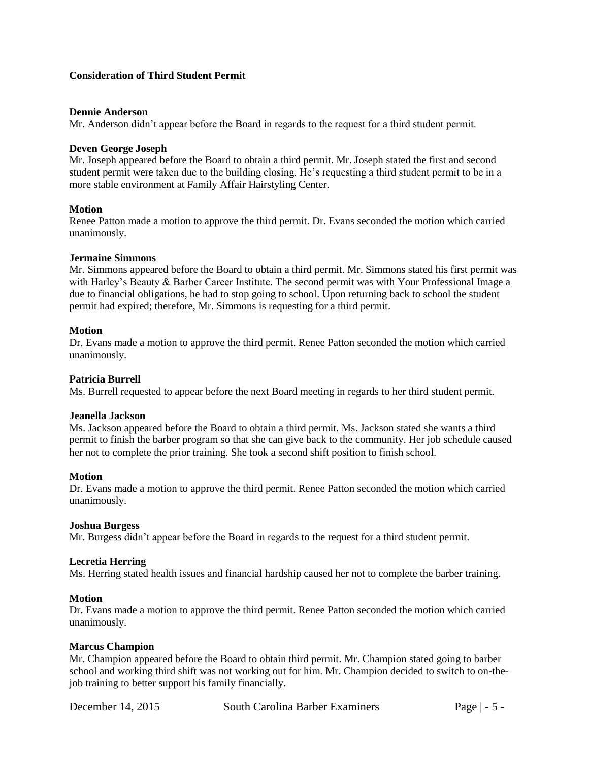## **Consideration of Third Student Permit**

### **Dennie Anderson**

Mr. Anderson didn't appear before the Board in regards to the request for a third student permit.

# **Deven George Joseph**

Mr. Joseph appeared before the Board to obtain a third permit. Mr. Joseph stated the first and second student permit were taken due to the building closing. He's requesting a third student permit to be in a more stable environment at Family Affair Hairstyling Center.

## **Motion**

Renee Patton made a motion to approve the third permit. Dr. Evans seconded the motion which carried unanimously.

### **Jermaine Simmons**

Mr. Simmons appeared before the Board to obtain a third permit. Mr. Simmons stated his first permit was with Harley's Beauty & Barber Career Institute. The second permit was with Your Professional Image a due to financial obligations, he had to stop going to school. Upon returning back to school the student permit had expired; therefore, Mr. Simmons is requesting for a third permit.

## **Motion**

Dr. Evans made a motion to approve the third permit. Renee Patton seconded the motion which carried unanimously.

## **Patricia Burrell**

Ms. Burrell requested to appear before the next Board meeting in regards to her third student permit.

### **Jeanella Jackson**

Ms. Jackson appeared before the Board to obtain a third permit. Ms. Jackson stated she wants a third permit to finish the barber program so that she can give back to the community. Her job schedule caused her not to complete the prior training. She took a second shift position to finish school.

### **Motion**

Dr. Evans made a motion to approve the third permit. Renee Patton seconded the motion which carried unanimously.

### **Joshua Burgess**

Mr. Burgess didn't appear before the Board in regards to the request for a third student permit.

### **Lecretia Herring**

Ms. Herring stated health issues and financial hardship caused her not to complete the barber training.

### **Motion**

Dr. Evans made a motion to approve the third permit. Renee Patton seconded the motion which carried unanimously.

### **Marcus Champion**

Mr. Champion appeared before the Board to obtain third permit. Mr. Champion stated going to barber school and working third shift was not working out for him. Mr. Champion decided to switch to on-thejob training to better support his family financially.

December 14, 2015 South Carolina Barber Examiners Page | - 5 -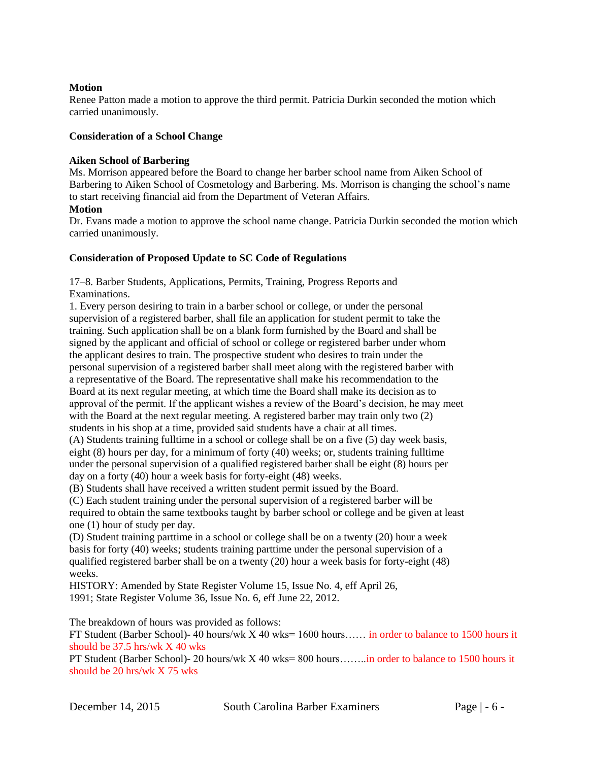## **Motion**

Renee Patton made a motion to approve the third permit. Patricia Durkin seconded the motion which carried unanimously.

## **Consideration of a School Change**

## **Aiken School of Barbering**

Ms. Morrison appeared before the Board to change her barber school name from Aiken School of Barbering to Aiken School of Cosmetology and Barbering. Ms. Morrison is changing the school's name to start receiving financial aid from the Department of Veteran Affairs. **Motion** 

Dr. Evans made a motion to approve the school name change. Patricia Durkin seconded the motion which carried unanimously.

# **Consideration of Proposed Update to SC Code of Regulations**

17–8. Barber Students, Applications, Permits, Training, Progress Reports and Examinations.

1. Every person desiring to train in a barber school or college, or under the personal supervision of a registered barber, shall file an application for student permit to take the training. Such application shall be on a blank form furnished by the Board and shall be signed by the applicant and official of school or college or registered barber under whom the applicant desires to train. The prospective student who desires to train under the personal supervision of a registered barber shall meet along with the registered barber with a representative of the Board. The representative shall make his recommendation to the Board at its next regular meeting, at which time the Board shall make its decision as to approval of the permit. If the applicant wishes a review of the Board's decision, he may meet with the Board at the next regular meeting. A registered barber may train only two (2) students in his shop at a time, provided said students have a chair at all times. (A) Students training fulltime in a school or college shall be on a five (5) day week basis, eight (8) hours per day, for a minimum of forty (40) weeks; or, students training fulltime under the personal supervision of a qualified registered barber shall be eight (8) hours per day on a forty (40) hour a week basis for forty-eight (48) weeks.

(B) Students shall have received a written student permit issued by the Board.

(C) Each student training under the personal supervision of a registered barber will be required to obtain the same textbooks taught by barber school or college and be given at least one (1) hour of study per day.

(D) Student training parttime in a school or college shall be on a twenty (20) hour a week basis for forty (40) weeks; students training parttime under the personal supervision of a qualified registered barber shall be on a twenty (20) hour a week basis for forty-eight (48) weeks.

HISTORY: Amended by State Register Volume 15, Issue No. 4, eff April 26, 1991; State Register Volume 36, Issue No. 6, eff June 22, 2012.

The breakdown of hours was provided as follows:

FT Student (Barber School)- 40 hours/wk X 40 wks= 1600 hours…… in order to balance to 1500 hours it should be 37.5 hrs/wk X 40 wks

PT Student (Barber School)- 20 hours/wk X 40 wks= 800 hours……..in order to balance to 1500 hours it should be 20 hrs/wk X 75 wks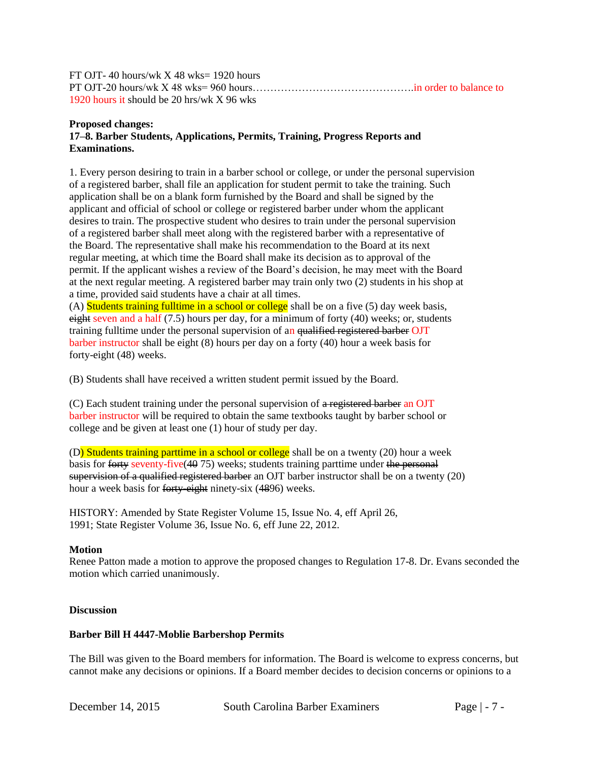FT OJT- 40 hours/wk  $X$  48 wks= 1920 hours PT OJT-20 hours/wk X 48 wks= 960 hours……………………………………….in order to balance to 1920 hours it should be 20 hrs/wk X 96 wks

## **Proposed changes: 17–8. Barber Students, Applications, Permits, Training, Progress Reports and Examinations.**

1. Every person desiring to train in a barber school or college, or under the personal supervision of a registered barber, shall file an application for student permit to take the training. Such application shall be on a blank form furnished by the Board and shall be signed by the applicant and official of school or college or registered barber under whom the applicant desires to train. The prospective student who desires to train under the personal supervision of a registered barber shall meet along with the registered barber with a representative of the Board. The representative shall make his recommendation to the Board at its next regular meeting, at which time the Board shall make its decision as to approval of the permit. If the applicant wishes a review of the Board's decision, he may meet with the Board at the next regular meeting. A registered barber may train only two (2) students in his shop at a time, provided said students have a chair at all times.

(A) Students training fulltime in a school or college shall be on a five  $(5)$  day week basis, eight seven and a half  $(7.5)$  hours per day, for a minimum of forty  $(40)$  weeks; or, students training fulltime under the personal supervision of an qualified registered barber OJT barber instructor shall be eight (8) hours per day on a forty (40) hour a week basis for forty-eight (48) weeks.

(B) Students shall have received a written student permit issued by the Board.

(C) Each student training under the personal supervision of a registered barber an OJT barber instructor will be required to obtain the same textbooks taught by barber school or college and be given at least one (1) hour of study per day.

(D) Students training parttime in a school or college shall be on a twenty (20) hour a week basis for forty seventy-five (40 75) weeks; students training parttime under the personal supervision of a qualified registered barber an OJT barber instructor shall be on a twenty (20) hour a week basis for forty-eight ninety-six (4896) weeks.

HISTORY: Amended by State Register Volume 15, Issue No. 4, eff April 26, 1991; State Register Volume 36, Issue No. 6, eff June 22, 2012.

# **Motion**

Renee Patton made a motion to approve the proposed changes to Regulation 17-8. Dr. Evans seconded the motion which carried unanimously.

# **Discussion**

## **Barber Bill H 4447-Moblie Barbershop Permits**

The Bill was given to the Board members for information. The Board is welcome to express concerns, but cannot make any decisions or opinions. If a Board member decides to decision concerns or opinions to a